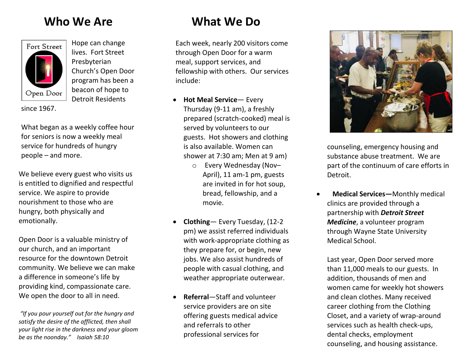#### **Who We Are**



Hope can change lives. Fort Street Presbyterian Church's Open Door program has been a beacon of hope to Detroit Residents

since 1967.

What began as a weekly coffee hour for seniors is now a weekly meal service for hundreds of hungry people – and more.

We believe every guest who visits us is entitled to dignified and respectful service. We aspire to provide nourishment to those who are hungry, both physically and emotionally.

Open Door is a valuable ministry of our church, and an important resource for the downtown Detroit community. We believe we can make a difference in someone's life by providing kind, compassionate care. We open the door to all in need.

*"If you pour yourself out for the hungry and satisfy the desire of the afflicted, then shall your light rise in the darkness and your gloom be as the noonday." Isaiah 58:10*

### **What We Do**

Each week, nearly 200 visitors come through Open Door for a warm meal, support services, and fellowship with others. Our services include:

- **Hot Meal Service** Every Thursday (9-11 am), a freshly prepared (scratch-cooked) meal is served by volunteers to our guests. Hot showers and clothing is also available. Women can shower at 7:30 am; Men at 9 am)
	- o Every Wednesday (Nov– April), 11 am-1 pm, guests are invited in for hot soup, bread, fellowship, and a movie.
- **Clothing** Every Tuesday, (12-2 pm) we assist referred individuals with work-appropriate clothing as they prepare for, or begin, new jobs. We also assist hundreds of people with casual clothing, and weather appropriate outerwear.
- **Referral**—Staff and volunteer service providers are on site offering guests medical advice and referrals to other professional services for



counseling, emergency housing and substance abuse treatment. We are part of the continuum of care efforts in Detroit.

 **Medical Services—**Monthly medical clinics are provided through a partnership with *Detroit Street Medicine*, a volunteer program through Wayne State University Medical School.

Last year, Open Door served more than 11,000 meals to our guests. In addition, thousands of men and women came for weekly hot showers and clean clothes. Many received career clothing from the Clothing Closet, and a variety of wrap-around services such as health check-ups, dental checks, employment counseling, and housing assistance.